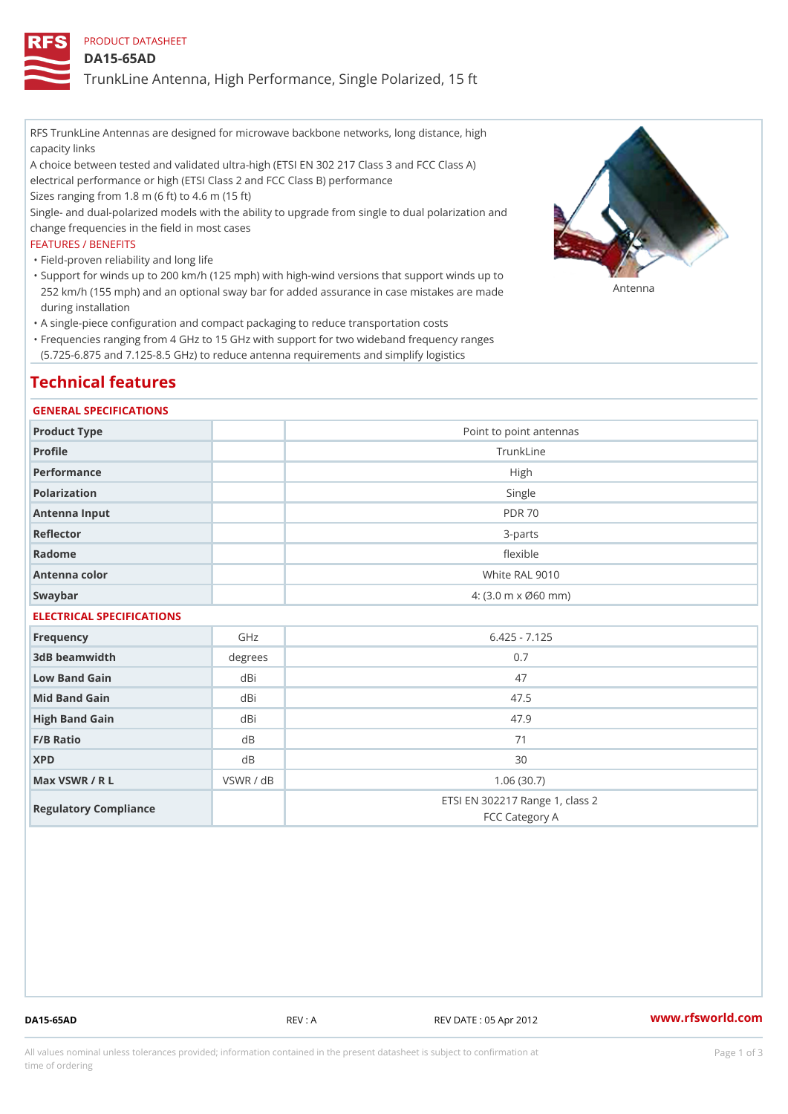PRODUCT DATASHEET

DA15-65AD

TrunkLine Antenna, High Performance, Single Polarized, 15 ft

RFS TrunkLine Antennas are designed for microwave backbone networks, long distance, high capacity links

A choice between tested and validated ultra-high (ETSI EN 302 217 Class 3 and FCC Class A) electrical performance or high (ETSI Class 2 and FCC Class B) performance

Sizes ranging from 1.8 m (6 ft) to 4.6 m (15 ft)

Single- and dual-polarized models with the ability to upgrade from single to dual polarization and change frequencies in the field in most cases

#### FEATURES / BENEFITS

"Field-proven reliability and long life

- Support for winds up to 200 km/h (125 mph) with high-wind versions that support winds up to " 252 km/h (155 mph) and an optional sway bar for added assurance in case m S # \$ R & B are made during installation
- "A single-piece configuration and compact packaging to reduce transportation costs
- Frequencies ranging from 4 GHz to 15 GHz with support for two wideband frequency ranges " (5.725-6.875 and 7.125-8.5 GHz) to reduce antenna requirements and simplify logistics

# Technical features

#### GENERAL SPECIFICATIONS

| Product Type              | Point to point antennas                                 |  |  |  |
|---------------------------|---------------------------------------------------------|--|--|--|
| Profile                   | TrunkLine                                               |  |  |  |
| Performance               | High                                                    |  |  |  |
| Polarization              | Single                                                  |  |  |  |
| Antenna Input             | <b>PDR 70</b>                                           |  |  |  |
| Reflector                 | $3 - p$ arts                                            |  |  |  |
| Radome                    | flexible                                                |  |  |  |
| Antenna color             | White RAL 9010                                          |  |  |  |
| Swaybar                   | $4: (3.0 \, \text{m} \times \emptyset 60 \, \text{mm})$ |  |  |  |
| ELECTRICAL SPECIFICATIONS |                                                         |  |  |  |

| Frequency             | GHz       | $6.425 - 7.125$                                   |
|-----------------------|-----------|---------------------------------------------------|
| 3dB beamwidth         | degrees   | 0.7                                               |
| Low Band Gain         | dBi       | 47                                                |
| Mid Band Gain         | dBi       | 47.5                                              |
| High Band Gain        | dBi       | 47.9                                              |
| $F/B$ Ratio           | d B       | 71                                                |
| <b>XPD</b>            | d B       | 30                                                |
| Max VSWR / R L        | VSWR / dB | 1.06(30.7)                                        |
| Regulatory Compliance |           | ETSI EN 302217 Range 1, class 2<br>FCC Category A |

DA15-65AD REV : A REV DATE : 05 Apr 2012 [www.](https://www.rfsworld.com)rfsworld.com

All values nominal unless tolerances provided; information contained in the present datasheet is subject to Pcapgeign mation time of ordering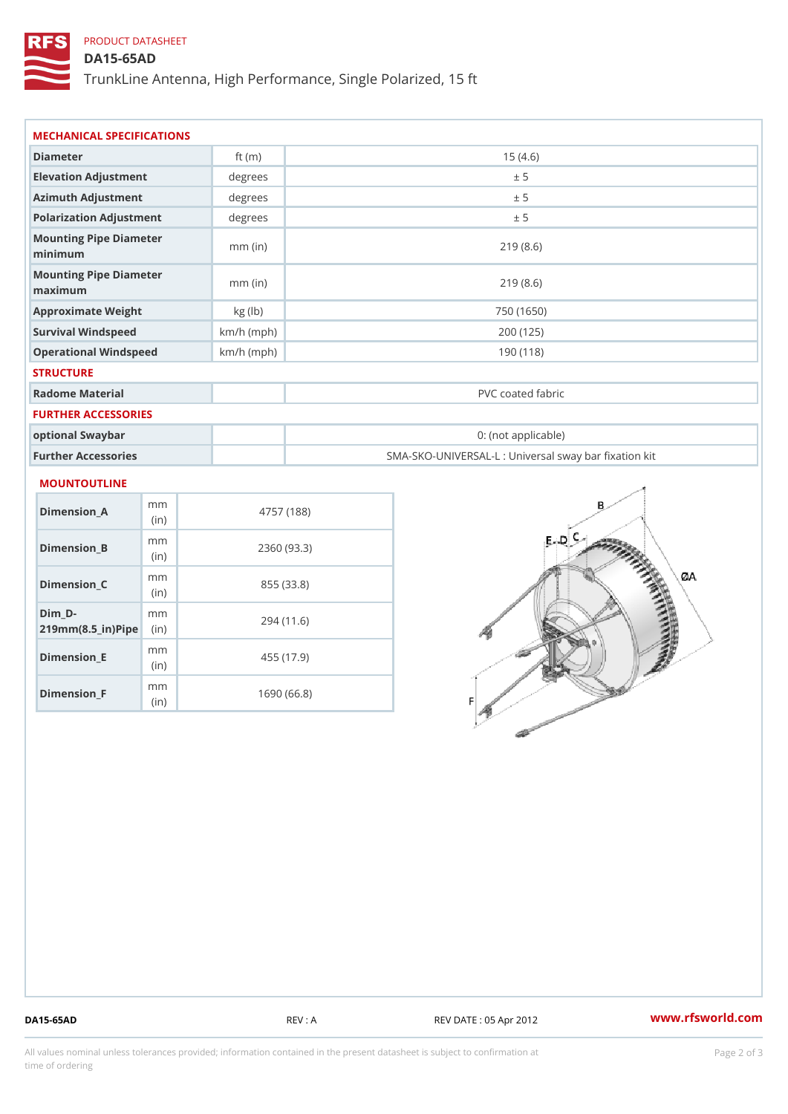## PRODUCT DATASHEET

## DA15-65AD

TrunkLine Antenna, High Performance, Single Polarized, 15 ft

| Diameter                                      | ft $(m)$     | 15(4.6)                                           |
|-----------------------------------------------|--------------|---------------------------------------------------|
| Elevation Adjustment                          | degrees      | ± 5                                               |
| Azimuth Adjustment                            | degrees      | ± 5                                               |
| Polarization Adjustment                       | degrees      | ± 5                                               |
| Mounting Pipe Diameter<br>minimaum            | $mm$ (in)    | 219(8.6)                                          |
| Mounting Pipe Diameter<br>$m$ a x i $m$ u $m$ | $mm$ (in)    | 219(8.6)                                          |
| Approximate Weight                            | kg(lb)       | 750 (1650)                                        |
| Survival Windspeed                            | $km/h$ (mph) | 200 (125)                                         |
| Operational Windspeed                         | $km/h$ (mph) | 190 (118)                                         |
| <b>STRUCTURE</b>                              |              |                                                   |
| Radome Material                               |              | PVC coated fabric                                 |
| FURTHER ACCESSORIES                           |              |                                                   |
| optional Swaybar                              |              | 0: (not applicable)                               |
| Further Accessories                           |              | SMA-SKO-UNIVERSAL-L : Universal sway bar fixation |

| Dimension A                                    | m m<br>(i n)             | 4757 (188)  |
|------------------------------------------------|--------------------------|-------------|
| Dimension B                                    | m m<br>(i <sub>n</sub> ) | 2360 (93.3) |
| Dimension C                                    | m m<br>(i n)             | 855 (33.8)  |
| Dim D-<br>$219$ m m $(8.5$ in $)$ P iip $\geq$ | m m                      | 294 (11.6)  |
| Dimension E                                    | m m<br>(i n)             | 455 (17.9)  |
| Dimension <sub>_F</sub>                        | m m<br>(in               | 1690 (66.8) |

DA15-65AD REV : A REV DATE : 05 Apr 2012 [www.](https://www.rfsworld.com)rfsworld.com